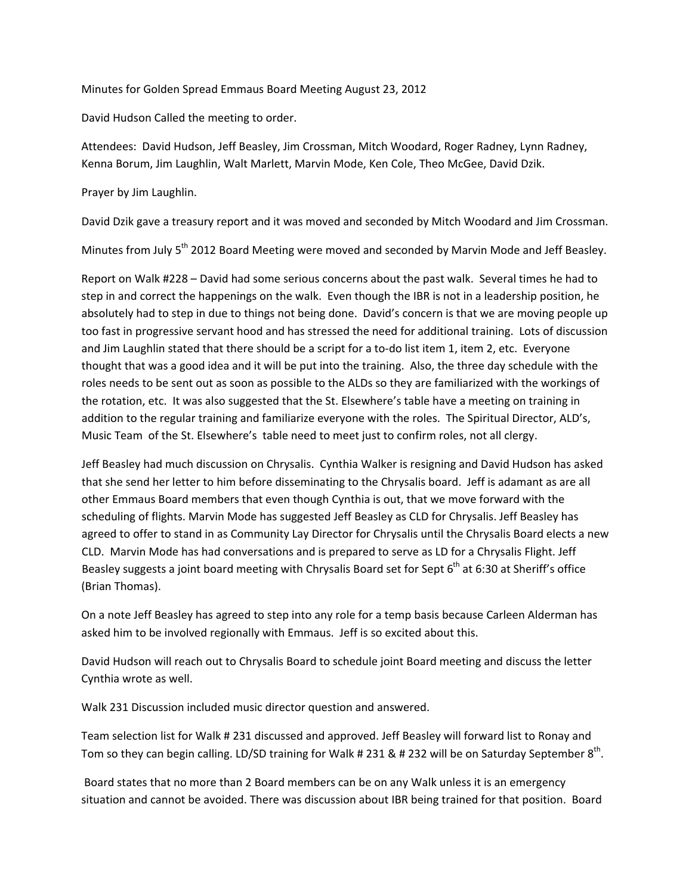Minutes for Golden Spread Emmaus Board Meeting August 23, 2012

David Hudson Called the meeting to order.

Attendees: David Hudson, Jeff Beasley, Jim Crossman, Mitch Woodard, Roger Radney, Lynn Radney, Kenna Borum, Jim Laughlin, Walt Marlett, Marvin Mode, Ken Cole, Theo McGee, David Dzik.

Prayer by Jim Laughlin.

David Dzik gave a treasury report and it was moved and seconded by Mitch Woodard and Jim Crossman.

Minutes from July 5<sup>th</sup> 2012 Board Meeting were moved and seconded by Marvin Mode and Jeff Beasley.

Report on Walk #228 – David had some serious concerns about the past walk. Several times he had to step in and correct the happenings on the walk. Even though the IBR is not in a leadership position, he absolutely had to step in due to things not being done. David's concern is that we are moving people up too fast in progressive servant hood and has stressed the need for additional training. Lots of discussion and Jim Laughlin stated that there should be a script for a to-do list item 1, item 2, etc. Everyone thought that was a good idea and it will be put into the training. Also, the three day schedule with the roles needs to be sent out as soon as possible to the ALDs so they are familiarized with the workings of the rotation, etc. It was also suggested that the St. Elsewhere's table have a meeting on training in addition to the regular training and familiarize everyone with the roles. The Spiritual Director, ALD's, Music Team of the St. Elsewhere's table need to meet just to confirm roles, not all clergy.

Jeff Beasley had much discussion on Chrysalis. Cynthia Walker is resigning and David Hudson has asked that she send her letter to him before disseminating to the Chrysalis board. Jeff is adamant as are all other Emmaus Board members that even though Cynthia is out, that we move forward with the scheduling of flights. Marvin Mode has suggested Jeff Beasley as CLD for Chrysalis. Jeff Beasley has agreed to offer to stand in as Community Lay Director for Chrysalis until the Chrysalis Board elects a new CLD. Marvin Mode has had conversations and is prepared to serve as LD for a Chrysalis Flight. Jeff Beasley suggests a joint board meeting with Chrysalis Board set for Sept 6<sup>th</sup> at 6:30 at Sheriff's office (Brian Thomas).

On a note Jeff Beasley has agreed to step into any role for a temp basis because Carleen Alderman has asked him to be involved regionally with Emmaus. Jeff is so excited about this.

David Hudson will reach out to Chrysalis Board to schedule joint Board meeting and discuss the letter Cynthia wrote as well.

Walk 231 Discussion included music director question and answered.

Team selection list for Walk # 231 discussed and approved. Jeff Beasley will forward list to Ronay and Tom so they can begin calling. LD/SD training for Walk # 231 & # 232 will be on Saturday September  $8<sup>th</sup>$ .

Board states that no more than 2 Board members can be on any Walk unless it is an emergency situation and cannot be avoided. There was discussion about IBR being trained for that position. Board